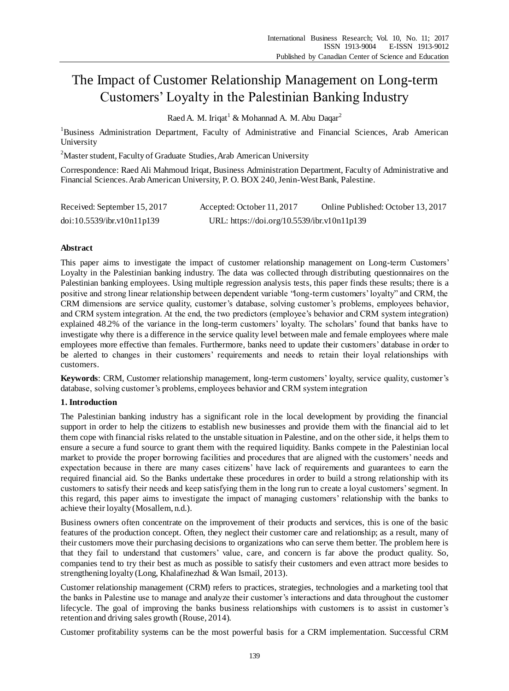# The Impact of Customer Relationship Management on Long-term Customers' Loyalty in the Palestinian Banking Industry

Raed A. M. Iriqat<sup>1</sup> & Mohannad A. M. Abu Daqar<sup>2</sup>

<sup>1</sup>Business Administration Department, Faculty of Administrative and Financial Sciences, Arab American University

<sup>2</sup>Master student, Faculty of Graduate Studies, Arab American University

Correspondence: Raed Ali Mahmoud Iriqat, Business Administration Department, Faculty of Administrative and Financial Sciences. Arab American University, P. O. BOX 240, Jenin-West Bank, Palestine.

| Received: September 15, 2017 | Accepted: October 11, 2017                  | Online Published: October 13, 2017 |
|------------------------------|---------------------------------------------|------------------------------------|
| doi:10.5539/ibr.v10n11p139   | URL: https://doi.org/10.5539/ibr.v10n11p139 |                                    |

# **Abstract**

This paper aims to investigate the impact of customer relationship management on Long-term Customers' Loyalty in the Palestinian banking industry. The data was collected through distributing questionnaires on the Palestinian banking employees. Using multiple regression analysis tests, this paper finds these results; there is a positive and strong linear relationship between dependent variable "long-term customers' loyalty" and CRM, the CRM dimensions are service quality, customer's database, solving customer's problems, employees behavior, and CRM system integration. At the end, the two predictors (employee's behavior and CRM system integration) explained 48.2% of the variance in the long-term customers' loyalty. The scholars' found that banks have to investigate why there is a difference in the service quality level between male and female employees where male employees more effective than females. Furthermore, banks need to update their customers' database in order to be alerted to changes in their customers' requirements and needs to retain their loyal relationships with customers.

**Keywords**: CRM, Customer relationship management, long-term customers' loyalty, service quality, customer's database, solving customer's problems, employees behavior and CRM system integration

## **1. Introduction**

The Palestinian banking industry has a significant role in the local development by providing the financial support in order to help the citizens to establish new businesses and provide them with the financial aid to let them cope with financial risks related to the unstable situation in Palestine, and on the other side, it helps them to ensure a secure a fund source to grant them with the required liquidity. Banks compete in the Palestinian local market to provide the proper borrowing facilities and procedures that are aligned with the customers' needs and expectation because in there are many cases citizens' have lack of requirements and guarantees to earn the required financial aid. So the Banks undertake these procedures in order to build a strong relationship with its customers to satisfy their needs and keep satisfying them in the long run to create a loyal customers' segment. In this regard, this paper aims to investigate the impact of managing customers' relationship with the banks to achieve their loyalty (Mosallem, n.d.).

Business owners often concentrate on the improvement of their products and services, this is one of the basic features of the production concept. Often, they neglect their customer care and relationship; as a result, many of their customers move their purchasing decisions to organizations who can serve them better. The problem here is that they fail to understand that customers' value, care, and concern is far above the product quality. So, companies tend to try their best as much as possible to satisfy their customers and even attract more besides to strengthening loyalty (Long, Khalafinezhad & Wan Ismail, 2013).

Customer relationship management (CRM) refers to practices, strategies, technologies and a marketing tool that the banks in Palestine use to manage and analyze their customer's interactions and data throughout the customer lifecycle. The goal of improving the banks business relationships with customers is to assist in customer's retention and driving sales growth (Rouse, 2014).

Customer profitability systems can be the most powerful basis for a CRM implementation. Successful CRM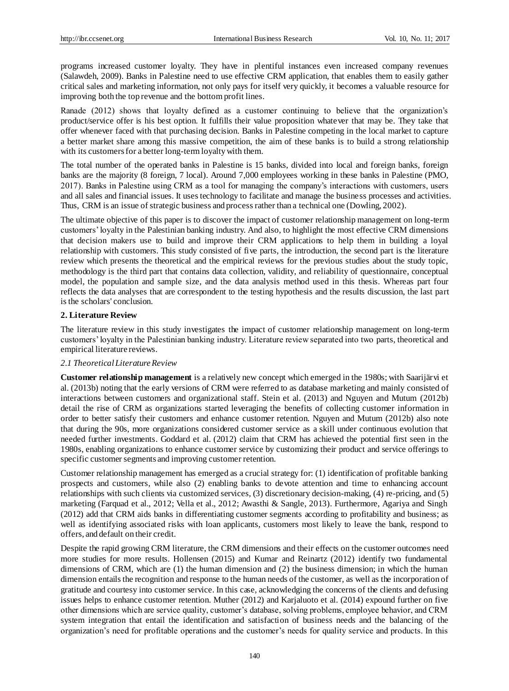programs increased customer loyalty. They have in plentiful instances even increased company revenues (Salawdeh, 2009). Banks in Palestine need to use effective CRM application, that enables them to easily gather critical sales and marketing information, not only pays for itself very quickly, it becomes a valuable resource for improving both the top revenue and the bottom profit lines.

Ranade (2012) shows that loyalty defined as a customer continuing to believe that the organization's product/service offer is his best option. It fulfills their value proposition whatever that may be. They take that offer whenever faced with that purchasing decision. Banks in Palestine competing in the local market to capture a better market share among this massive competition, the aim of these banks is to build a strong relationship with its customers for a better long-term loyalty with them.

The total number of the operated banks in Palestine is 15 banks, divided into local and foreign banks, foreign banks are the majority (8 foreign, 7 local). Around 7,000 employees working in these banks in Palestine (PMO, 2017). Banks in Palestine using CRM as a tool for managing the company's interactions with customers, users and all sales and financial issues. It uses technology to facilitate and manage the business processes and activities. Thus, CRM is an issue of strategic business and process rather than a technical one (Dowling, 2002).

The ultimate objective of this paper is to discover the impact of customer relationship management on long-term customers' loyalty in the Palestinian banking industry. And also, to highlight the most effective CRM dimensions that decision makers use to build and improve their CRM applications to help them in building a loyal relationship with customers. This study consisted of five parts, the introduction, the second part is the literature review which presents the theoretical and the empirical reviews for the previous studies about the study topic, methodology is the third part that contains data collection, validity, and reliability of questionnaire, conceptual model, the population and sample size, and the data analysis method used in this thesis. Whereas part four reflects the data analyses that are correspondent to the testing hypothesis and the results discussion, the last part is the scholars' conclusion.

## **2. Literature Review**

The literature review in this study investigates the impact of customer relationship management on long-term customers' loyalty in the Palestinian banking industry. Literature review separated into two parts, theoretical and empirical literature reviews.

#### *2.1 Theoretical Literature Review*

**Customer relationship management** is a relatively new concept which emerged in the 1980s; with Saarijärvi et al. (2013b) noting that the early versions of CRM were referred to as database marketing and mainly consisted of interactions between customers and organizational staff. Stein et al. (2013) and Nguyen and Mutum (2012b) detail the rise of CRM as organizations started leveraging the benefits of collecting customer information in order to better satisfy their customers and enhance customer retention. Nguyen and Mutum (2012b) also note that during the 90s, more organizations considered customer service as a skill under continuous evolution that needed further investments. Goddard et al. (2012) claim that CRM has achieved the potential first seen in the 1980s, enabling organizations to enhance customer service by customizing their product and service offerings to specific customer segments and improving customer retention.

Customer relationship management has emerged as a crucial strategy for: (1) identification of profitable banking prospects and customers, while also (2) enabling banks to devote attention and time to enhancing account relationships with such clients via customized services, (3) discretionary decision-making, (4) re-pricing, and (5) marketing (Farquad et al., 2012; Vella et al., 2012; Awasthi & Sangle, 2013). Furthermore, Agariya and Singh (2012) add that CRM aids banks in differentiating customer segments according to profitability and business; as well as identifying associated risks with loan applicants, customers most likely to leave the bank, respond to offers, and default on their credit.

Despite the rapid growing CRM literature, the CRM dimensions and their effects on the customer outcomes need more studies for more results. Hollensen (2015) and Kumar and Reinartz (2012) identify two fundamental dimensions of CRM, which are (1) the human dimension and (2) the business dimension; in which the human dimension entails the recognition and response to the human needs of the customer, as well as the incorporation of gratitude and courtesy into customer service. In this case, acknowledging the concerns of the clients and defusing issues helps to enhance customer retention. Muther (2012) and Karjaluoto et al. (2014) expound further on five other dimensions which are service quality, customer's database, solving problems, employee behavior, and CRM system integration that entail the identification and satisfaction of business needs and the balancing of the organization's need for profitable operations and the customer's needs for quality service and products. In this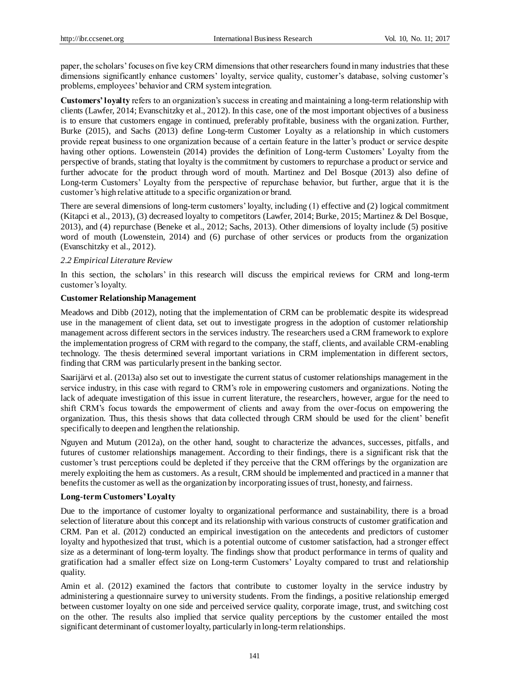paper, the scholars' focuses on five key CRM dimensions that other researchers found in many industries that these dimensions significantly enhance customers' loyalty, service quality, customer's database, solving customer's problems, employees' behavior and CRM system integration.

**Customers' loyalty** refers to an organization's success in creating and maintaining a long-term relationship with clients (Lawfer, 2014; Evanschitzky et al., 2012). In this case, one of the most important objectives of a business is to ensure that customers engage in continued, preferably profitable, business with the organization. Further, Burke (2015), and Sachs (2013) define Long-term Customer Loyalty as a relationship in which customers provide repeat business to one organization because of a certain feature in the latter's product or service despite having other options. Lowenstein (2014) provides the definition of Long-term Customers' Loyalty from the perspective of brands, stating that loyalty is the commitment by customers to repurchase a product or service and further advocate for the product through word of mouth. Martinez and Del Bosque (2013) also define of Long-term Customers' Loyalty from the perspective of repurchase behavior, but further, argue that it is the customer's high relative attitude to a specific organization or brand.

There are several dimensions of long-term customers' loyalty, including (1) effective and (2) logical commitment (Kitapci et al., 2013), (3) decreased loyalty to competitors (Lawfer, 2014; Burke, 2015; Martinez & Del Bosque, 2013), and (4) repurchase (Beneke et al., 2012; Sachs, 2013). Other dimensions of loyalty include (5) positive word of mouth (Lowenstein, 2014) and (6) purchase of other services or products from the organization (Evanschitzky et al., 2012).

### *2.2 Empirical Literature Review*

In this section, the scholars' in this research will discuss the empirical reviews for CRM and long-term customer's loyalty.

### **Customer Relationship Management**

Meadows and Dibb (2012), noting that the implementation of CRM can be problematic despite its widespread use in the management of client data, set out to investigate progress in the adoption of customer relationship management across different sectors in the services industry. The researchers used a CRM framework to explore the implementation progress of CRM with regard to the company, the staff, clients, and available CRM-enabling technology. The thesis determined several important variations in CRM implementation in different sectors, finding that CRM was particularly present in the banking sector.

Saarijärvi et al. (2013a) also set out to investigate the current status of customer relationships management in the service industry, in this case with regard to CRM's role in empowering customers and organizations. Noting the lack of adequate investigation of this issue in current literature, the researchers, however, argue for the need to shift CRM's focus towards the empowerment of clients and away from the over-focus on empowering the organization. Thus, this thesis shows that data collected through CRM should be used for the client' benefit specifically to deepen and lengthen the relationship.

Nguyen and Mutum (2012a), on the other hand, sought to characterize the advances, successes, pitfalls, and futures of customer relationships management. According to their findings, there is a significant risk that the customer's trust perceptions could be depleted if they perceive that the CRM offerings by the organization are merely exploiting the hem as customers. As a result, CRM should be implemented and practiced in a manner that benefits the customer as well as the organization by incorporating issues of trust, honesty, and fairness.

## **Long-term Customers' Loyalty**

Due to the importance of customer loyalty to organizational performance and sustainability, there is a broad selection of literature about this concept and its relationship with various constructs of customer gratification and CRM. Pan et al. (2012) conducted an empirical investigation on the antecedents and predictors of customer loyalty and hypothesized that trust, which is a potential outcome of customer satisfaction, had a stronger effect size as a determinant of long-term loyalty. The findings show that product performance in terms of quality and gratification had a smaller effect size on Long-term Customers' Loyalty compared to trust and relationship quality.

Amin et al. (2012) examined the factors that contribute to customer loyalty in the service industry by administering a questionnaire survey to university students. From the findings, a positive relationship emerged between customer loyalty on one side and perceived service quality, corporate image, trust, and switching cost on the other. The results also implied that service quality perceptions by the customer entailed the most significant determinant of customer loyalty, particularly in long-term relationships.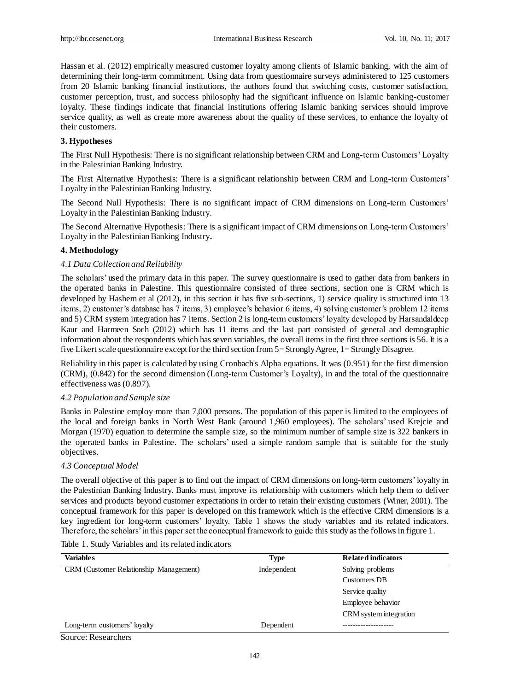Hassan et al. (2012) empirically measured customer loyalty among clients of Islamic banking, with the aim of determining their long-term commitment. Using data from questionnaire surveys administered to 125 customers from 20 Islamic banking financial institutions, the authors found that switching costs, customer satisfaction, customer perception, trust, and success philosophy had the significant influence on Islamic banking-customer loyalty. These findings indicate that financial institutions offering Islamic banking services should improve service quality, as well as create more awareness about the quality of these services, to enhance the loyalty of their customers.

# **3. Hypotheses**

The First Null Hypothesis: There is no significant relationship between CRM and Long-term Customers' Loyalty in the Palestinian Banking Industry.

The First Alternative Hypothesis: There is a significant relationship between CRM and Long-term Customers' Loyalty in the Palestinian Banking Industry.

The Second Null Hypothesis: There is no significant impact of CRM dimensions on Long-term Customers' Loyalty in the Palestinian Banking Industry.

The Second Alternative Hypothesis: There is a significant impact of CRM dimensions on Long-term Customers' Loyalty in the Palestinian Banking Industry**.**

# **4. Methodology**

# *4.1 Data Collection and Reliability*

The scholars' used the primary data in this paper. The survey questionnaire is used to gather data from bankers in the operated banks in Palestine. This questionnaire consisted of three sections, section one is CRM which is developed by Hashem et al (2012), in this section it has five sub-sections, 1) service quality is structured into 13 items, 2) customer's database has 7 items, 3) employee's behavior 6 items, 4) solving customer's problem 12 items and 5) CRM system integration has 7 items. Section 2 is long-term customers' loyalty developed by Harsandaldeep Kaur and Harmeen Soch (2012) which has 11 items and the last part consisted of general and demographic information about the respondents which has seven variables, the overall items in the first three sections is 56. It is a five Likert scale questionnaire except for the third section from 5= Strongly Agree, 1= Strongly Disagree.

Reliability in this paper is calculated by using Cronbach's Alpha equations. It was (0.951) for the first dimension (CRM), (0.842) for the second dimension (Long-term Customer's Loyalty), in and the total of the questionnaire effectiveness was (0.897).

## *4.2 Population and Sample size*

Banks in Palestine employ more than 7,000 persons. The population of this paper is limited to the employees of the local and foreign banks in North West Bank (around 1,960 employees). The scholars' used Krejcie and Morgan (1970) equation to determine the sample size, so the minimum number of sample size is 322 bankers in the operated banks in Palestine. The scholars' used a simple random sample that is suitable for the study objectives.

## *4.3 Conceptual Model*

The overall objective of this paper is to find out the impact of CRM dimensions on long-term customers' loyalty in the Palestinian Banking Industry. Banks must improve its relationship with customers which help them to deliver services and products beyond customer expectations in order to retain their existing customers (Winer, 2001). The conceptual framework for this paper is developed on this framework which is the effective CRM dimensions is a key ingredient for long-term customers' loyalty. Table 1 shows the study variables and its related indicators. Therefore, the scholars' in this paper set the conceptual framework to guide this study as the follows in figure 1.

Table 1. Study Variables and its related indicators

| <b>Variables</b>                       | Type        | <b>Related indicators</b> |
|----------------------------------------|-------------|---------------------------|
| CRM (Customer Relationship Management) | Independent | Solving problems          |
|                                        |             | Customers DB              |
|                                        |             | Service quality           |
|                                        |             | Employee behavior         |
|                                        |             | CRM system integration    |
| Long-term customers' loyalty           | Dependent   |                           |

# Source: Researchers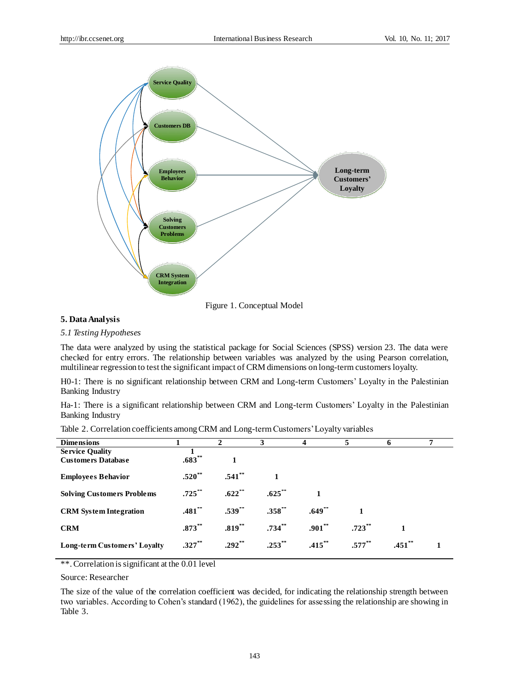

Figure 1. Conceptual Model

## **5. Data Analysis**

### *5.1 Testing Hypotheses*

The data were analyzed by using the statistical package for Social Sciences (SPSS) version 23. The data were checked for entry errors. The relationship between variables was analyzed by the using Pearson correlation, multilinear regression to test the significant impact of CRM dimensions on long-term customers loyalty.

H0-1: There is no significant relationship between CRM and Long-term Customers' Loyalty in the Palestinian Banking Industry

Ha-1: There is a significant relationship between CRM and Long-term Customers' Loyalty in the Palestinian Banking Industry

| <b>Dimensions</b>                 |             | 2           | 3           |           |           | <sup>0</sup> |  |
|-----------------------------------|-------------|-------------|-------------|-----------|-----------|--------------|--|
| <b>Service Quality</b>            |             |             |             |           |           |              |  |
| <b>Customers Database</b>         | $.683^{**}$ |             |             |           |           |              |  |
| <b>Employees Behavior</b>         | $.520**$    | $.541$ **   |             |           |           |              |  |
| <b>Solving Customers Problems</b> | $.725$ **   | $.622$ **   | $.625***$   |           |           |              |  |
| <b>CRM</b> System Integration     | $.481$ **   | $.539^{**}$ | $.358***$   | $.649**$  |           |              |  |
| <b>CRM</b>                        | $.873***$   | $.819***$   | $.734^{**}$ | $.901**$  | $.723$ ** |              |  |
| Long-term Customers' Loyalty      | $.327**$    | $.292**$    | $.253$ **   | $.415***$ | $.577***$ | $.451$ **    |  |

Table 2. Correlation coefficients among CRM and Long-term Customers' Loyalty variables

\*\*. Correlation is significant at the 0.01 level

Source: Researcher

The size of the value of the correlation coefficient was decided, for indicating the relationship strength between two variables. According to Cohen's standard (1962), the guidelines for assessing the relationship are showing in Table 3.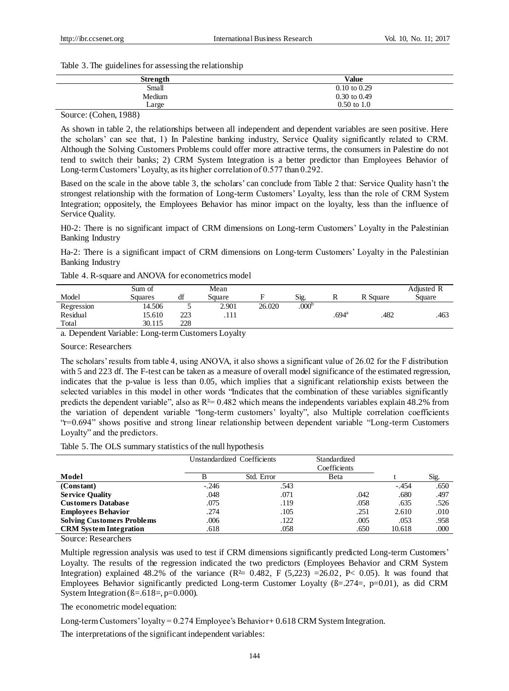Table 3. The guidelines for assessing the relationship

| <b>Strength</b> | Value                   |
|-----------------|-------------------------|
| Small           | $0.10 \text{ to } 0.29$ |
| Medium          | $0.30$ to $0.49$        |
| Large           | $0.50 \text{ to } 1.0$  |

## Source: (Cohen, 1988)

As shown in table 2, the relationships between all independent and dependent variables are seen positive. Here the scholars' can see that, 1) In Palestine banking industry, Service Quality significantly related to CRM. Although the Solving Customers Problems could offer more attractive terms, the consumers in Palestine do not tend to switch their banks; 2) CRM System Integration is a better predictor than Employees Behavior of Long-term Customers' Loyalty, as its higher correlation of 0.577 than 0.292.

Based on the scale in the above table 3, the scholars' can conclude from Table 2 that: Service Quality hasn't the strongest relationship with the formation of Long-term Customers' Loyalty, less than the role of CRM System Integration; oppositely, the Employees Behavior has minor impact on the loyalty, less than the influence of Service Quality.

H0-2: There is no significant impact of CRM dimensions on Long-term Customers' Loyalty in the Palestinian Banking Industry

Ha-2: There is a significant impact of CRM dimensions on Long-term Customers' Loyalty in the Palestinian Banking Industry

| Table 4. R-square and ANOVA for econometrics model |  |
|----------------------------------------------------|--|
|----------------------------------------------------|--|

| Model      | Sum of<br>Squares | df  | Mean<br>Square |        | Sig.              | ĸ              | R Square | Adjusted R<br>Square |
|------------|-------------------|-----|----------------|--------|-------------------|----------------|----------|----------------------|
| Regression | 14.506            |     | 2.901          | 26.020 | .000 <sup>b</sup> |                |          |                      |
| Residual   | 5.610             | 223 | .111           |        |                   | $.694^{\rm a}$ | 482      | .463                 |
| Total      | 30.115            | 228 |                |        |                   |                |          |                      |

a. Dependent Variable: Long-term Customers Loyalty

Source: Researchers

The scholars' results from table 4, using ANOVA, it also shows a significant value of 26.02 for the F distribution with 5 and 223 df. The F-test can be taken as a measure of overall model significance of the estimated regression, indicates that the p-value is less than 0.05, which implies that a significant relationship exists between the selected variables in this model in other words "Indicates that the combination of these variables significantly predicts the dependent variable", also as  $R^2 = 0.482$  which means the independents variables explain 48.2% from the variation of dependent variable "long-term customers' loyalty", also Multiple correlation coefficients "r=0.694" shows positive and strong linear relationship between dependent variable "Long-term Customers Loyalty" and the predictors.

Table 5. The OLS summary statistics of the null hypothesis

|                                   |         | Unstandardized Coefficients | Standardized<br>Coefficients |         |      |
|-----------------------------------|---------|-----------------------------|------------------------------|---------|------|
| Model                             |         | Std. Error                  | Beta                         |         | Sig. |
| (Constant)                        | $-.246$ | .543                        |                              | $-.454$ | .650 |
| <b>Service Quality</b>            | .048    | .071                        | .042                         | .680    | .497 |
| <b>Customers Database</b>         | .075    | .119                        | .058                         | .635    | .526 |
| <b>Employees Behavior</b>         | .274    | .105                        | .251                         | 2.610   | .010 |
| <b>Solving Customers Problems</b> | .006    | .122                        | .005                         | .053    | .958 |
| <b>CRM</b> System Integration     | .618    | .058                        | .650                         | 10.618  | .000 |

Source: Researchers

Multiple regression analysis was used to test if CRM dimensions significantly predicted Long-term Customers' Loyalty. The results of the regression indicated the two predictors (Employees Behavior and CRM System Integration) explained 48.2% of the variance  $(R \ge 0.482, F (5,223) = 26.02, P < 0.05)$ . It was found that Employees Behavior significantly predicted Long-term Customer Loyalty ( $\beta = .274 = , p = 0.01$ ), as did CRM System Integration ( $\text{B} = .618 = , \text{p} = 0.000$ ).

The econometric model equation:

Long-term Customers' loyalty = 0.274 Employee's Behavior+ 0.618 CRM System Integration.

The interpretations of the significant independent variables: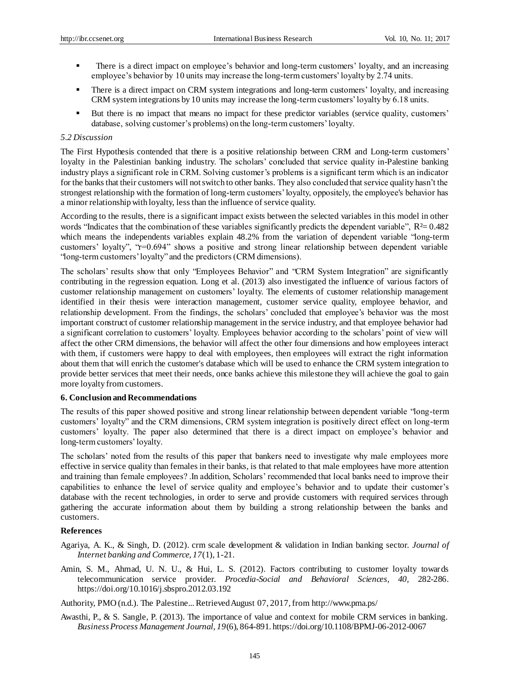- There is a direct impact on employee's behavior and long-term customers' loyalty, and an increasing employee's behavior by 10 units may increase the long-term customers' loyalty by 2.74 units.
- There is a direct impact on CRM system integrations and long-term customers' loyalty, and increasing CRM system integrations by 10 units may increase the long-term customers' loyalty by 6.18 units.
- But there is no impact that means no impact for these predictor variables (service quality, customers' database, solving customer's problems) on the long-term customers' loyalty.

### *5.2 Discussion*

The First Hypothesis contended that there is a positive relationship between CRM and Long-term customers' loyalty in the Palestinian banking industry. The scholars' concluded that service quality in-Palestine banking industry plays a significant role in CRM. Solving customer's problems is a significant term which is an indicator for the banks that their customers will not switch to other banks. They also concluded that service quality hasn't the strongest relationship with the formation of long-term customers' loyalty, oppositely, the employee's behavior has a minor relationship with loyalty, less than the influence of service quality.

According to the results, there is a significant impact exists between the selected variables in this model in other words "Indicates that the combination of these variables significantly predicts the dependent variable",  $R \approx 0.482$ which means the independents variables explain 48.2% from the variation of dependent variable "long-term customers' loyalty", "r=0.694" shows a positive and strong linear relationship between dependent variable "long-term customers' loyalty" and the predictors (CRM dimensions).

The scholars' results show that only "Employees Behavior" and "CRM System Integration" are significantly contributing in the regression equation. Long et al. (2013) also investigated the influence of various factors of customer relationship management on customers' loyalty. The elements of customer relationship management identified in their thesis were interaction management, customer service quality, employee behavior, and relationship development. From the findings, the scholars' concluded that employee's behavior was the most important construct of customer relationship management in the service industry, and that employee behavior had a significant correlation to customers' loyalty. Employees behavior according to the scholars' point of view will affect the other CRM dimensions, the behavior will affect the other four dimensions and how employees interact with them, if customers were happy to deal with employees, then employees will extract the right information about them that will enrich the customer's database which will be used to enhance the CRM system integration to provide better services that meet their needs, once banks achieve this milestone they will achieve the goal to gain more loyalty from customers.

#### **6. Conclusion and Recommendations**

The results of this paper showed positive and strong linear relationship between dependent variable "long-term customers' loyalty" and the CRM dimensions, CRM system integration is positively direct effect on long-term customers' loyalty. The paper also determined that there is a direct impact on employee's behavior and long-term customers' loyalty.

The scholars' noted from the results of this paper that bankers need to investigate why male employees more effective in service quality than females in their banks, is that related to that male employees have more attention and training than female employees? .In addition, Scholars' recommended that local banks need to improve their capabilities to enhance the level of service quality and employee's behavior and to update their customer's database with the recent technologies, in order to serve and provide customers with required services through gathering the accurate information about them by building a strong relationship between the banks and customers.

## **References**

- Agariya, A. K., & Singh, D. (2012). crm scale development & validation in Indian banking sector. *Journal of Internet banking and Commerce, 17*(1), 1-21.
- Amin, S. M., Ahmad, U. N. U., & Hui, L. S. (2012). Factors contributing to customer loyalty towards telecommunication service provider. *Procedia-Social and Behavioral Sciences, 40,* 282-286. https://doi.org/10.1016/j.sbspro.2012.03.192

Authority, PMO (n.d.). The Palestine... Retrieved August 07, 2017, from http://www.pma.ps/

Awasthi, P., & S. Sangle, P. (2013). The importance of value and context for mobile CRM services in banking. *Business Process Management Journal, 19*(6), 864-891. https://doi.org/10.1108/BPMJ-06-2012-0067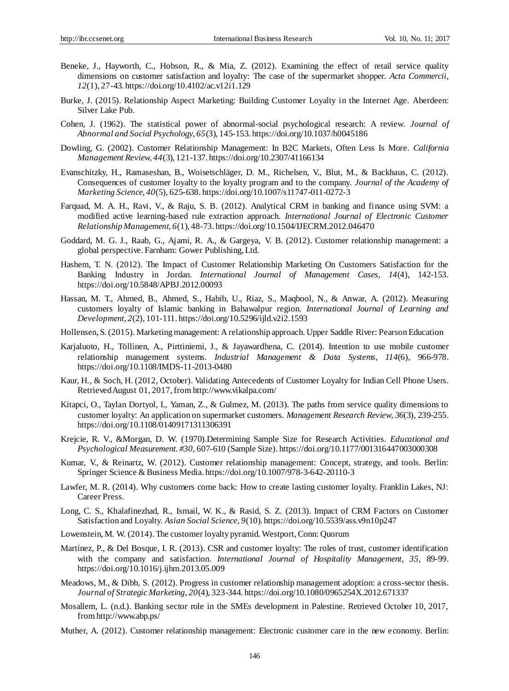- Beneke, J., Hayworth, C., Hobson, R., & Mia, Z. (2012). Examining the effect of retail service quality dimensions on customer satisfaction and loyalty: The case of the supermarket shopper. *Acta Commercii, 12*(1), 27-43. https://doi.org/10.4102/ac.v12i1.129
- Burke, J. (2015). Relationship Aspect Marketing: Building Customer Loyalty in the Internet Age. Aberdeen: Silver Lake Pub.
- Cohen, J. (1962). The statistical power of abnormal-social psychological research: A review. *Journal of Abnormal and Social Psychology, 65*(3), 145-153. https://doi.org/10.1037/h0045186
- Dowling, G. (2002). Customer Relationship Management: In B2C Markets, Often Less Is More. *California Management Review, 44*(3), 121-137. https://doi.org/10.2307/41166134
- Evanschitzky, H., Ramaseshan, B., Woisetschläger, D. M., Richelsen, V., Blut, M., & Backhaus, C. (2012). Consequences of customer loyalty to the loyalty program and to the company. *Journal of the Academy of Marketing Science, 40*(5), 625-638. https://doi.org/10.1007/s11747-011-0272-3
- Farquad, M. A. H., Ravi, V., & Raju, S. B. (2012). Analytical CRM in banking and finance using SVM: a modified active learning-based rule extraction approach. *International Journal of Electronic Customer Relationship Management, 6*(1), 48-73. https://doi.org/10.1504/IJECRM.2012.046470
- Goddard, M. G. J., Raab, G., Ajami, R. A., & Gargeya, V. B. (2012). Customer relationship management: a global perspective. Farnham: Gower Publishing, Ltd.
- Hashem, T. N. (2012). The Impact of Customer Relationship Marketing On Customers Satisfaction for the Banking Industry in Jordan. *International Journal of Management Cases, 14*(4), 142-153. https://doi.org/10.5848/APBJ.2012.00093
- Hassan, M. T., Ahmed, B., Ahmed, S., Habib, U., Riaz, S., Maqbool, N., & Anwar, A. (2012). Measuring customers loyalty of Islamic banking in Bahawalpur region. *International Journal of Learning and Development, 2*(2), 101-111. https://doi.org/10.5296/ijld.v2i2.1593
- Hollensen, S. (2015). Marketing management: A relationship approach. Upper Saddle River: Pearson Education
- Karjaluoto, H., Töllinen, A., Pirttiniemi, J., & Jayawardhena, C. (2014). Intention to use mobile customer relationship management systems. *Industrial Management & Data Systems, 114*(6), 966-978. https://doi.org/10.1108/IMDS-11-2013-0480
- Kaur, H., & Soch, H. (2012, October). Validating Antecedents of Customer Loyalty for Indian Cell Phone Users. Retrieved August 01, 2017, from http://www.vikalpa.com/
- Kitapci, O., Taylan Dortyol, I., Yaman, Z., & Gulmez, M. (2013). The paths from service quality dimensions to customer loyalty: An application on supermarket customers. *Management Research Review, 36*(3), 239-255. https://doi.org/10.1108/01409171311306391
- Krejcie, R. V., &Morgan, D. W. (1970).Determining Sample Size for Research Activities. *Educational and Psychological Measurement. #30,* 607-610 (Sample Size). https://doi.org/10.1177/001316447003000308
- Kumar, V., & Reinartz, W. (2012). Customer relationship management: Concept, strategy, and tools. Berlin: Springer Science & Business Media. https://doi.org/10.1007/978-3-642-20110-3
- Lawfer, M. R. (2014). Why customers come back: How to create lasting customer loyalty. Franklin Lakes, NJ: Career Press.
- Long, C. S., Khalafinezhad, R., Ismail, W. K., & Rasid, S. Z. (2013). Impact of CRM Factors on Customer Satisfaction and Loyalty. *Asian Social Science, 9*(10). https://doi.org/10.5539/ass.v9n10p247
- Lowenstein, M. W. (2014). The customer loyalty pyramid. Westport, Conn: Quorum
- Mart ínez, P., & Del Bosque, I. R. (2013). CSR and customer loyalty: The roles of trust, customer identification with the company and satisfaction. *International Journal of Hospitality Management, 35,* 89-99. https://doi.org/10.1016/j.ijhm.2013.05.009
- Meadows, M., & Dibb, S. (2012). Progress in customer relationship management adoption: a cross-sector thesis. *Journal of Strategic Marketing, 20*(4), 323-344. https://doi.org/10.1080/0965254X.2012.671337
- Mosallem, L. (n.d.). Banking sector role in the SMEs development in Palestine. Retrieved October 10, 2017, from http://www.abp.ps/
- Muther, A. (2012). Customer relationship management: Electronic customer care in the new economy. Berlin: